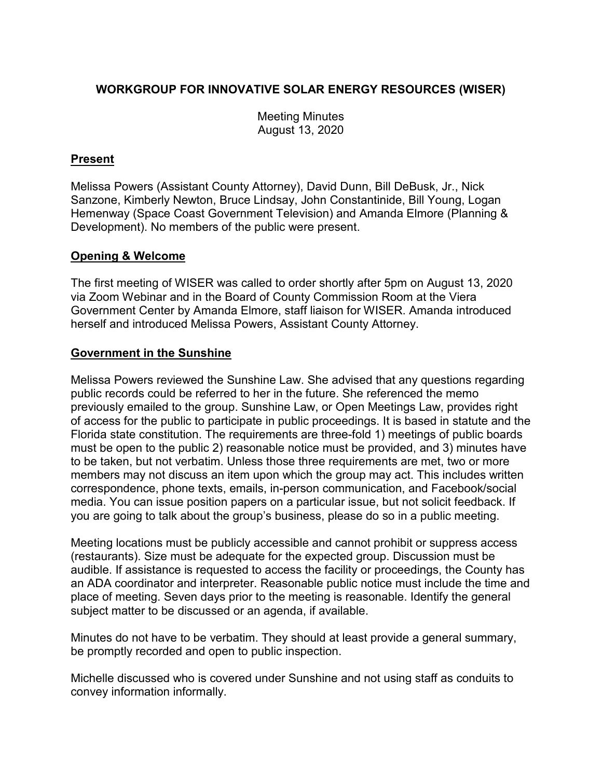# **WORKGROUP FOR INNOVATIVE SOLAR ENERGY RESOURCES (WISER)**

Meeting Minutes August 13, 2020

## **Present**

Melissa Powers (Assistant County Attorney), David Dunn, Bill DeBusk, Jr., Nick Sanzone, Kimberly Newton, Bruce Lindsay, John Constantinide, Bill Young, Logan Hemenway (Space Coast Government Television) and Amanda Elmore (Planning & Development). No members of the public were present.

### **Opening & Welcome**

The first meeting of WISER was called to order shortly after 5pm on August 13, 2020 via Zoom Webinar and in the Board of County Commission Room at the Viera Government Center by Amanda Elmore, staff liaison for WISER. Amanda introduced herself and introduced Melissa Powers, Assistant County Attorney.

## **Government in the Sunshine**

Melissa Powers reviewed the Sunshine Law. She advised that any questions regarding public records could be referred to her in the future. She referenced the memo previously emailed to the group. Sunshine Law, or Open Meetings Law, provides right of access for the public to participate in public proceedings. It is based in statute and the Florida state constitution. The requirements are three-fold 1) meetings of public boards must be open to the public 2) reasonable notice must be provided, and 3) minutes have to be taken, but not verbatim. Unless those three requirements are met, two or more members may not discuss an item upon which the group may act. This includes written correspondence, phone texts, emails, in-person communication, and Facebook/social media. You can issue position papers on a particular issue, but not solicit feedback. If you are going to talk about the group's business, please do so in a public meeting.

Meeting locations must be publicly accessible and cannot prohibit or suppress access (restaurants). Size must be adequate for the expected group. Discussion must be audible. If assistance is requested to access the facility or proceedings, the County has an ADA coordinator and interpreter. Reasonable public notice must include the time and place of meeting. Seven days prior to the meeting is reasonable. Identify the general subject matter to be discussed or an agenda, if available.

Minutes do not have to be verbatim. They should at least provide a general summary, be promptly recorded and open to public inspection.

Michelle discussed who is covered under Sunshine and not using staff as conduits to convey information informally.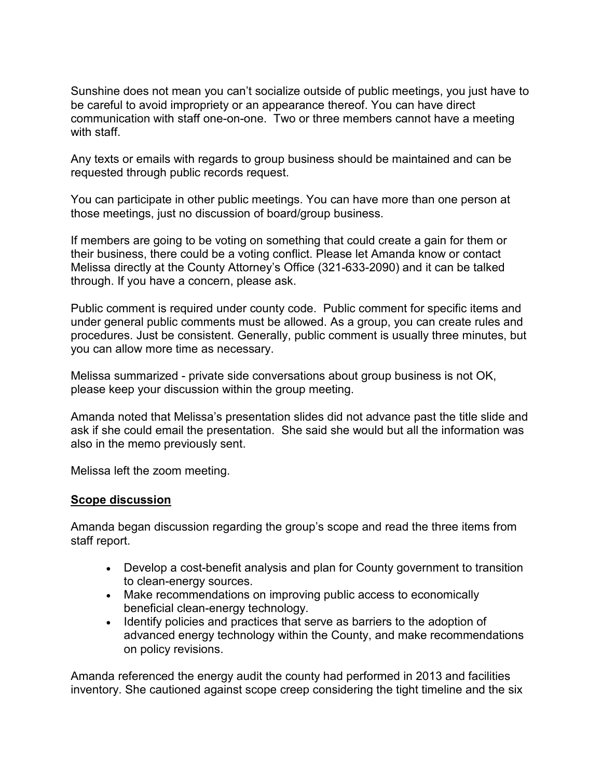Sunshine does not mean you can't socialize outside of public meetings, you just have to be careful to avoid impropriety or an appearance thereof. You can have direct communication with staff one-on-one. Two or three members cannot have a meeting with staff.

Any texts or emails with regards to group business should be maintained and can be requested through public records request.

You can participate in other public meetings. You can have more than one person at those meetings, just no discussion of board/group business.

If members are going to be voting on something that could create a gain for them or their business, there could be a voting conflict. Please let Amanda know or contact Melissa directly at the County Attorney's Office (321-633-2090) and it can be talked through. If you have a concern, please ask.

Public comment is required under county code. Public comment for specific items and under general public comments must be allowed. As a group, you can create rules and procedures. Just be consistent. Generally, public comment is usually three minutes, but you can allow more time as necessary.

Melissa summarized - private side conversations about group business is not OK, please keep your discussion within the group meeting.

Amanda noted that Melissa's presentation slides did not advance past the title slide and ask if she could email the presentation. She said she would but all the information was also in the memo previously sent.

Melissa left the zoom meeting.

### **Scope discussion**

Amanda began discussion regarding the group's scope and read the three items from staff report.

- Develop a cost-benefit analysis and plan for County government to transition to clean-energy sources.
- Make recommendations on improving public access to economically beneficial clean-energy technology.
- Identify policies and practices that serve as barriers to the adoption of advanced energy technology within the County, and make recommendations on policy revisions.

Amanda referenced the energy audit the county had performed in 2013 and facilities inventory. She cautioned against scope creep considering the tight timeline and the six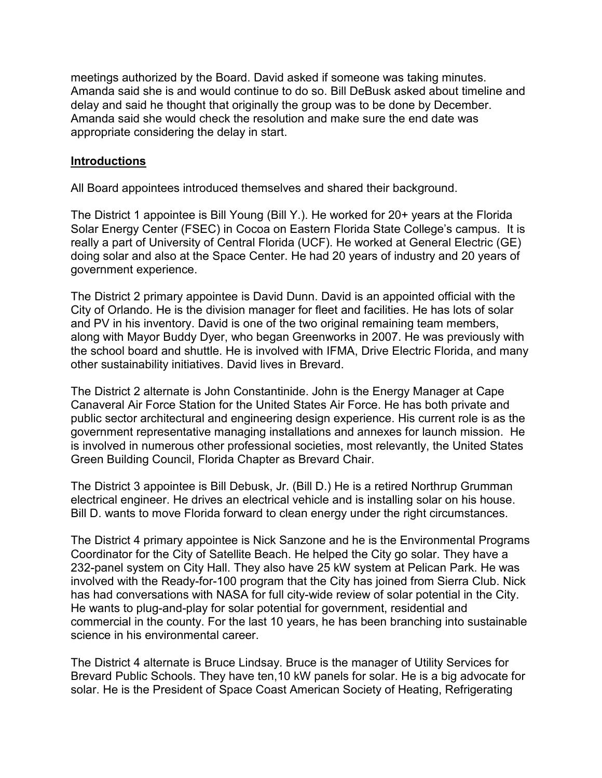meetings authorized by the Board. David asked if someone was taking minutes. Amanda said she is and would continue to do so. Bill DeBusk asked about timeline and delay and said he thought that originally the group was to be done by December. Amanda said she would check the resolution and make sure the end date was appropriate considering the delay in start.

### **Introductions**

All Board appointees introduced themselves and shared their background.

The District 1 appointee is Bill Young (Bill Y.). He worked for 20+ years at the Florida Solar Energy Center (FSEC) in Cocoa on Eastern Florida State College's campus. It is really a part of University of Central Florida (UCF). He worked at General Electric (GE) doing solar and also at the Space Center. He had 20 years of industry and 20 years of government experience.

The District 2 primary appointee is David Dunn. David is an appointed official with the City of Orlando. He is the division manager for fleet and facilities. He has lots of solar and PV in his inventory. David is one of the two original remaining team members, along with Mayor Buddy Dyer, who began Greenworks in 2007. He was previously with the school board and shuttle. He is involved with IFMA, Drive Electric Florida, and many other sustainability initiatives. David lives in Brevard.

The District 2 alternate is John Constantinide. John is the Energy Manager at Cape Canaveral Air Force Station for the United States Air Force. He has both private and public sector architectural and engineering design experience. His current role is as the government representative managing installations and annexes for launch mission. He is involved in numerous other professional societies, most relevantly, the United States Green Building Council, Florida Chapter as Brevard Chair.

The District 3 appointee is Bill Debusk, Jr. (Bill D.) He is a retired Northrup Grumman electrical engineer. He drives an electrical vehicle and is installing solar on his house. Bill D. wants to move Florida forward to clean energy under the right circumstances.

The District 4 primary appointee is Nick Sanzone and he is the Environmental Programs Coordinator for the City of Satellite Beach. He helped the City go solar. They have a 232-panel system on City Hall. They also have 25 kW system at Pelican Park. He was involved with the Ready-for-100 program that the City has joined from Sierra Club. Nick has had conversations with NASA for full city-wide review of solar potential in the City. He wants to plug-and-play for solar potential for government, residential and commercial in the county. For the last 10 years, he has been branching into sustainable science in his environmental career.

The District 4 alternate is Bruce Lindsay. Bruce is the manager of Utility Services for Brevard Public Schools. They have ten,10 kW panels for solar. He is a big advocate for solar. He is the President of Space Coast American Society of Heating, Refrigerating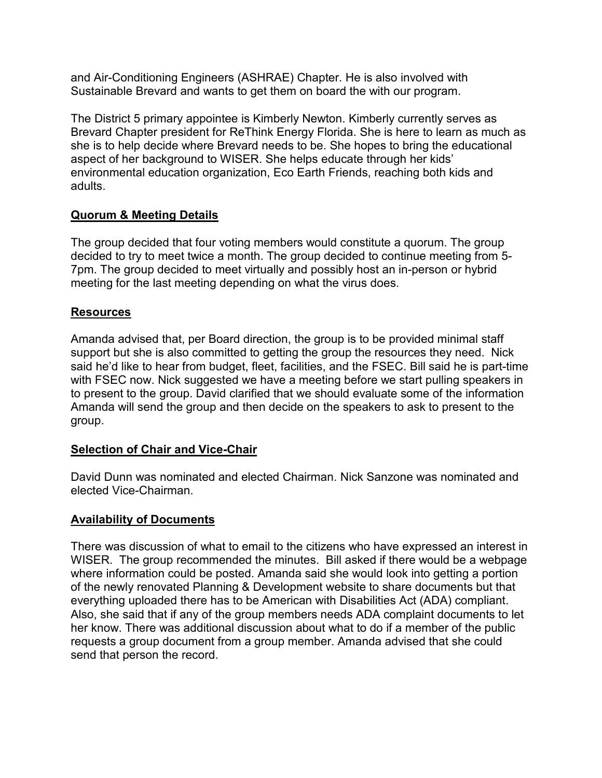and Air-Conditioning Engineers (ASHRAE) Chapter. He is also involved with Sustainable Brevard and wants to get them on board the with our program.

The District 5 primary appointee is Kimberly Newton. Kimberly currently serves as Brevard Chapter president for ReThink Energy Florida. She is here to learn as much as she is to help decide where Brevard needs to be. She hopes to bring the educational aspect of her background to WISER. She helps educate through her kids' environmental education organization, Eco Earth Friends, reaching both kids and adults.

## **Quorum & Meeting Details**

The group decided that four voting members would constitute a quorum. The group decided to try to meet twice a month. The group decided to continue meeting from 5- 7pm. The group decided to meet virtually and possibly host an in-person or hybrid meeting for the last meeting depending on what the virus does.

## **Resources**

Amanda advised that, per Board direction, the group is to be provided minimal staff support but she is also committed to getting the group the resources they need. Nick said he'd like to hear from budget, fleet, facilities, and the FSEC. Bill said he is part-time with FSEC now. Nick suggested we have a meeting before we start pulling speakers in to present to the group. David clarified that we should evaluate some of the information Amanda will send the group and then decide on the speakers to ask to present to the group.

### **Selection of Chair and Vice-Chair**

David Dunn was nominated and elected Chairman. Nick Sanzone was nominated and elected Vice-Chairman.

### **Availability of Documents**

There was discussion of what to email to the citizens who have expressed an interest in WISER. The group recommended the minutes. Bill asked if there would be a webpage where information could be posted. Amanda said she would look into getting a portion of the newly renovated Planning & Development website to share documents but that everything uploaded there has to be American with Disabilities Act (ADA) compliant. Also, she said that if any of the group members needs ADA complaint documents to let her know. There was additional discussion about what to do if a member of the public requests a group document from a group member. Amanda advised that she could send that person the record.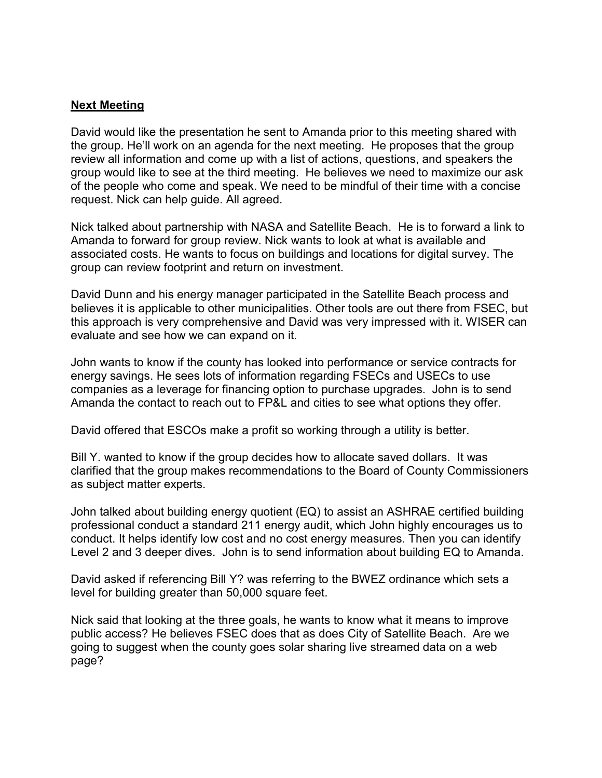### **Next Meeting**

David would like the presentation he sent to Amanda prior to this meeting shared with the group. He'll work on an agenda for the next meeting. He proposes that the group review all information and come up with a list of actions, questions, and speakers the group would like to see at the third meeting. He believes we need to maximize our ask of the people who come and speak. We need to be mindful of their time with a concise request. Nick can help guide. All agreed.

Nick talked about partnership with NASA and Satellite Beach. He is to forward a link to Amanda to forward for group review. Nick wants to look at what is available and associated costs. He wants to focus on buildings and locations for digital survey. The group can review footprint and return on investment.

David Dunn and his energy manager participated in the Satellite Beach process and believes it is applicable to other municipalities. Other tools are out there from FSEC, but this approach is very comprehensive and David was very impressed with it. WISER can evaluate and see how we can expand on it.

John wants to know if the county has looked into performance or service contracts for energy savings. He sees lots of information regarding FSECs and USECs to use companies as a leverage for financing option to purchase upgrades. John is to send Amanda the contact to reach out to FP&L and cities to see what options they offer.

David offered that ESCOs make a profit so working through a utility is better.

Bill Y. wanted to know if the group decides how to allocate saved dollars. It was clarified that the group makes recommendations to the Board of County Commissioners as subject matter experts.

John talked about building energy quotient (EQ) to assist an ASHRAE certified building professional conduct a standard 211 energy audit, which John highly encourages us to conduct. It helps identify low cost and no cost energy measures. Then you can identify Level 2 and 3 deeper dives. John is to send information about building EQ to Amanda.

David asked if referencing Bill Y? was referring to the BWEZ ordinance which sets a level for building greater than 50,000 square feet.

Nick said that looking at the three goals, he wants to know what it means to improve public access? He believes FSEC does that as does City of Satellite Beach. Are we going to suggest when the county goes solar sharing live streamed data on a web page?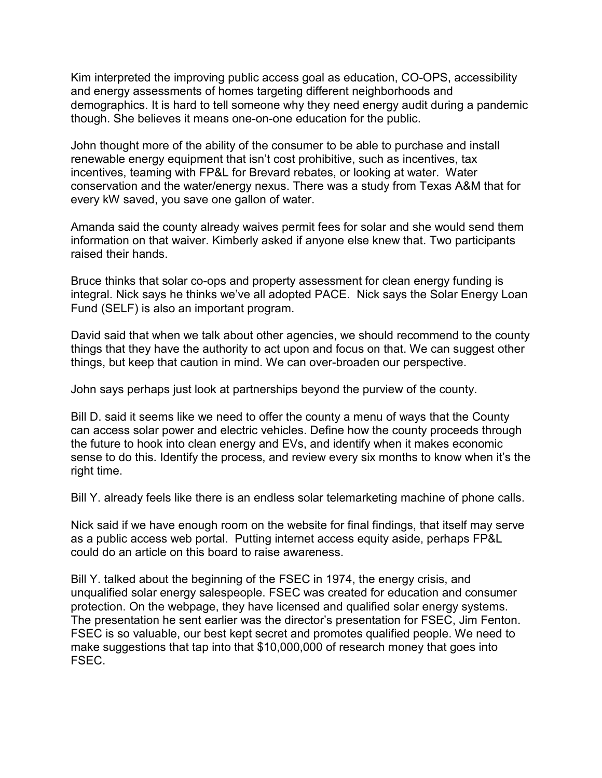Kim interpreted the improving public access goal as education, CO-OPS, accessibility and energy assessments of homes targeting different neighborhoods and demographics. It is hard to tell someone why they need energy audit during a pandemic though. She believes it means one-on-one education for the public.

John thought more of the ability of the consumer to be able to purchase and install renewable energy equipment that isn't cost prohibitive, such as incentives, tax incentives, teaming with FP&L for Brevard rebates, or looking at water. Water conservation and the water/energy nexus. There was a study from Texas A&M that for every kW saved, you save one gallon of water.

Amanda said the county already waives permit fees for solar and she would send them information on that waiver. Kimberly asked if anyone else knew that. Two participants raised their hands.

Bruce thinks that solar co-ops and property assessment for clean energy funding is integral. Nick says he thinks we've all adopted PACE. Nick says the Solar Energy Loan Fund (SELF) is also an important program.

David said that when we talk about other agencies, we should recommend to the county things that they have the authority to act upon and focus on that. We can suggest other things, but keep that caution in mind. We can over-broaden our perspective.

John says perhaps just look at partnerships beyond the purview of the county.

Bill D. said it seems like we need to offer the county a menu of ways that the County can access solar power and electric vehicles. Define how the county proceeds through the future to hook into clean energy and EVs, and identify when it makes economic sense to do this. Identify the process, and review every six months to know when it's the right time.

Bill Y. already feels like there is an endless solar telemarketing machine of phone calls.

Nick said if we have enough room on the website for final findings, that itself may serve as a public access web portal. Putting internet access equity aside, perhaps FP&L could do an article on this board to raise awareness.

Bill Y. talked about the beginning of the FSEC in 1974, the energy crisis, and unqualified solar energy salespeople. FSEC was created for education and consumer protection. On the webpage, they have licensed and qualified solar energy systems. The presentation he sent earlier was the director's presentation for FSEC, Jim Fenton. FSEC is so valuable, our best kept secret and promotes qualified people. We need to make suggestions that tap into that \$10,000,000 of research money that goes into FSEC.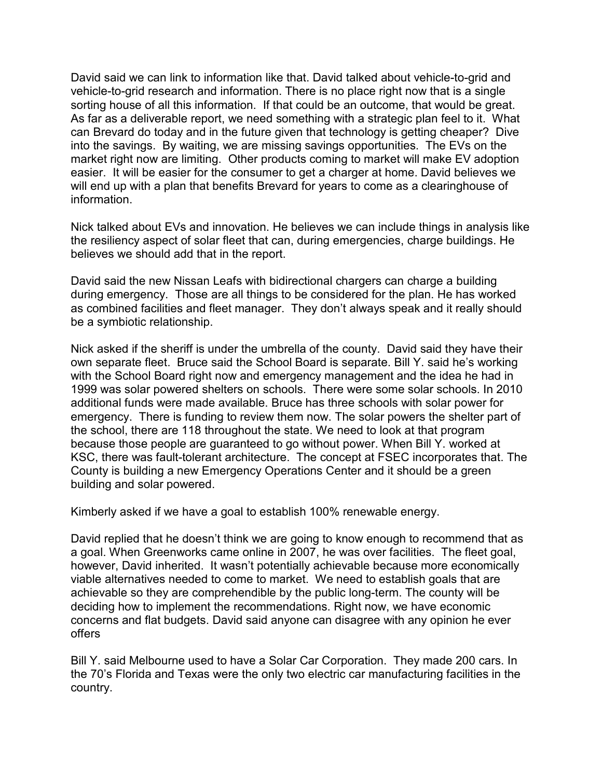David said we can link to information like that. David talked about vehicle-to-grid and vehicle-to-grid research and information. There is no place right now that is a single sorting house of all this information. If that could be an outcome, that would be great. As far as a deliverable report, we need something with a strategic plan feel to it. What can Brevard do today and in the future given that technology is getting cheaper? Dive into the savings. By waiting, we are missing savings opportunities. The EVs on the market right now are limiting. Other products coming to market will make EV adoption easier. It will be easier for the consumer to get a charger at home. David believes we will end up with a plan that benefits Brevard for years to come as a clearinghouse of information.

Nick talked about EVs and innovation. He believes we can include things in analysis like the resiliency aspect of solar fleet that can, during emergencies, charge buildings. He believes we should add that in the report.

David said the new Nissan Leafs with bidirectional chargers can charge a building during emergency. Those are all things to be considered for the plan. He has worked as combined facilities and fleet manager. They don't always speak and it really should be a symbiotic relationship.

Nick asked if the sheriff is under the umbrella of the county. David said they have their own separate fleet. Bruce said the School Board is separate. Bill Y. said he's working with the School Board right now and emergency management and the idea he had in 1999 was solar powered shelters on schools. There were some solar schools. In 2010 additional funds were made available. Bruce has three schools with solar power for emergency. There is funding to review them now. The solar powers the shelter part of the school, there are 118 throughout the state. We need to look at that program because those people are guaranteed to go without power. When Bill Y. worked at KSC, there was fault-tolerant architecture. The concept at FSEC incorporates that. The County is building a new Emergency Operations Center and it should be a green building and solar powered.

Kimberly asked if we have a goal to establish 100% renewable energy.

David replied that he doesn't think we are going to know enough to recommend that as a goal. When Greenworks came online in 2007, he was over facilities. The fleet goal, however, David inherited. It wasn't potentially achievable because more economically viable alternatives needed to come to market. We need to establish goals that are achievable so they are comprehendible by the public long-term. The county will be deciding how to implement the recommendations. Right now, we have economic concerns and flat budgets. David said anyone can disagree with any opinion he ever offers

Bill Y. said Melbourne used to have a Solar Car Corporation. They made 200 cars. In the 70's Florida and Texas were the only two electric car manufacturing facilities in the country.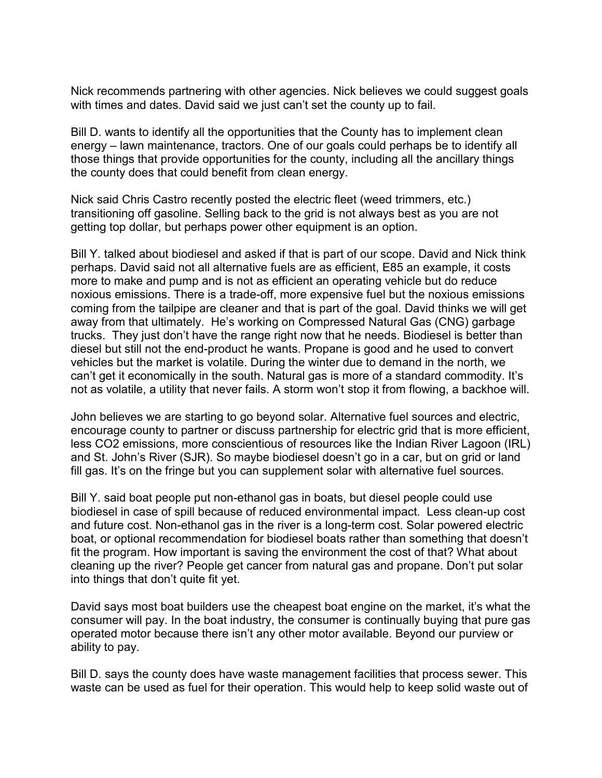Nick recommends partnering with other agencies. Nick believes we could suggest goals with times and dates. David said we just can't set the county up to fail.

Bill D. wants to identify all the opportunities that the County has to implement clean energy – lawn maintenance, tractors. One of our goals could perhaps be to identify all those things that provide opportunities for the county, including all the ancillary things the county does that could benefit from clean energy.

Nick said Chris Castro recently posted the electric fleet (weed trimmers, etc.) transitioning off gasoline. Selling back to the grid is not always best as you are not getting top dollar, but perhaps power other equipment is an option.

Bill Y. talked about biodiesel and asked if that is part of our scope. David and Nick think perhaps. David said not all alternative fuels are as efficient, E85 an example, it costs more to make and pump and is not as efficient an operating vehicle but do reduce noxious emissions. There is a trade-off, more expensive fuel but the noxious emissions coming from the tailpipe are cleaner and that is part of the goal. David thinks we will get away from that ultimately. He's working on Compressed Natural Gas (CNG) garbage trucks. They just don't have the range right now that he needs. Biodiesel is better than diesel but still not the end-product he wants. Propane is good and he used to convert vehicles but the market is volatile. During the winter due to demand in the north, we can't get it economically in the south. Natural gas is more of a standard commodity. It's not as volatile, a utility that never fails. A storm won't stop it from flowing, a backhoe will.

John believes we are starting to go beyond solar. Alternative fuel sources and electric, encourage county to partner or discuss partnership for electric grid that is more efficient, less CO2 emissions, more conscientious of resources like the Indian River Lagoon (IRL) and St. John's River (SJR). So maybe biodiesel doesn't go in a car, but on grid or land fill gas. It's on the fringe but you can supplement solar with alternative fuel sources.

Bill Y. said boat people put non-ethanol gas in boats, but diesel people could use biodiesel in case of spill because of reduced environmental impact. Less clean-up cost and future cost. Non-ethanol gas in the river is a long-term cost. Solar powered electric boat, or optional recommendation for biodiesel boats rather than something that doesn't fit the program. How important is saving the environment the cost of that? What about cleaning up the river? People get cancer from natural gas and propane. Don't put solar into things that don't quite fit yet.

David says most boat builders use the cheapest boat engine on the market, it's what the consumer will pay. In the boat industry, the consumer is continually buying that pure gas operated motor because there isn't any other motor available. Beyond our purview or ability to pay.

Bill D. says the county does have waste management facilities that process sewer. This waste can be used as fuel for their operation. This would help to keep solid waste out of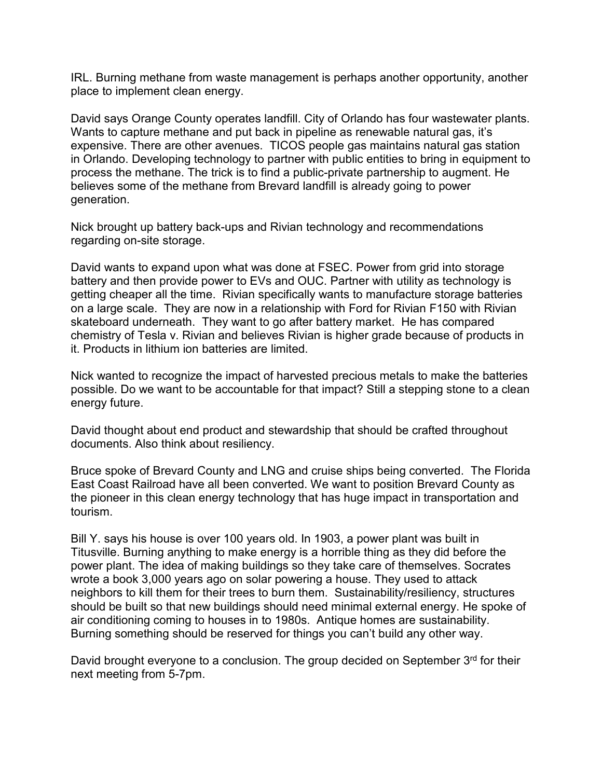IRL. Burning methane from waste management is perhaps another opportunity, another place to implement clean energy.

David says Orange County operates landfill. City of Orlando has four wastewater plants. Wants to capture methane and put back in pipeline as renewable natural gas, it's expensive. There are other avenues. TICOS people gas maintains natural gas station in Orlando. Developing technology to partner with public entities to bring in equipment to process the methane. The trick is to find a public-private partnership to augment. He believes some of the methane from Brevard landfill is already going to power generation.

Nick brought up battery back-ups and Rivian technology and recommendations regarding on-site storage.

David wants to expand upon what was done at FSEC. Power from grid into storage battery and then provide power to EVs and OUC. Partner with utility as technology is getting cheaper all the time. Rivian specifically wants to manufacture storage batteries on a large scale. They are now in a relationship with Ford for Rivian F150 with Rivian skateboard underneath. They want to go after battery market. He has compared chemistry of Tesla v. Rivian and believes Rivian is higher grade because of products in it. Products in lithium ion batteries are limited.

Nick wanted to recognize the impact of harvested precious metals to make the batteries possible. Do we want to be accountable for that impact? Still a stepping stone to a clean energy future.

David thought about end product and stewardship that should be crafted throughout documents. Also think about resiliency.

Bruce spoke of Brevard County and LNG and cruise ships being converted. The Florida East Coast Railroad have all been converted. We want to position Brevard County as the pioneer in this clean energy technology that has huge impact in transportation and tourism.

Bill Y. says his house is over 100 years old. In 1903, a power plant was built in Titusville. Burning anything to make energy is a horrible thing as they did before the power plant. The idea of making buildings so they take care of themselves. Socrates wrote a book 3,000 years ago on solar powering a house. They used to attack neighbors to kill them for their trees to burn them. Sustainability/resiliency, structures should be built so that new buildings should need minimal external energy. He spoke of air conditioning coming to houses in to 1980s. Antique homes are sustainability. Burning something should be reserved for things you can't build any other way.

David brought everyone to a conclusion. The group decided on September 3<sup>rd</sup> for their next meeting from 5-7pm.